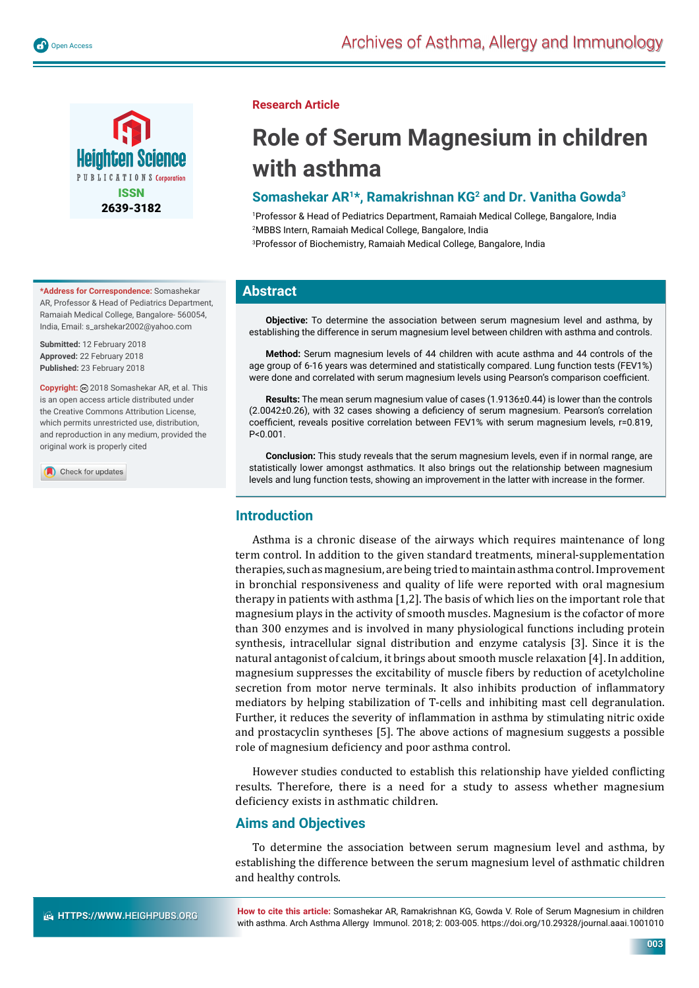

**\*Address for Correspondence:** Somashekar AR, Professor & Head of Pediatrics Department, Ramaiah Medical College, Bangalore- 560054, India, Email: s\_arshekar2002@yahoo.com

**Submitted:** 12 February 2018 **Approved:** 22 February 2018 **Published:** 23 February 2018

**Copyright:** 2018 Somashekar AR, et al. This is an open access article distributed under the Creative Commons Attribution License, which permits unrestricted use, distribution and reproduction in any medium, provided the original work is properly cited

Check for updates

## **Research Article**

# **Role of Serum Magnesium in children with asthma**

## **Somashekar AR1\*, Ramakrishnan KG2 and Dr. Vanitha Gowda3**

1 Professor & Head of Pediatrics Department, Ramaiah Medical College, Bangalore, India 2 MBBS Intern, Ramaiah Medical College, Bangalore, India 3 Professor of Biochemistry, Ramaiah Medical College, Bangalore, India

**Abstract**

**Objective:** To determine the association between serum magnesium level and asthma, by establishing the difference in serum magnesium level between children with asthma and controls.

**Method:** Serum magnesium levels of 44 children with acute asthma and 44 controls of the age group of 6-16 years was determined and statistically compared. Lung function tests (FEV1%) were done and correlated with serum magnesium levels using Pearson's comparison coefficient.

**Results:** The mean serum magnesium value of cases (1.9136±0.44) is lower than the controls (2.0042±0.26), with 32 cases showing a deficiency of serum magnesium. Pearson's correlation coefficient, reveals positive correlation between FEV1% with serum magnesium levels, r=0.819, P<0.001.

**Conclusion:** This study reveals that the serum magnesium levels, even if in normal range, are statistically lower amongst asthmatics. It also brings out the relationship between magnesium levels and lung function tests, showing an improvement in the latter with increase in the former.

## **Introduction**

Asthma is a chronic disease of the airways which requires maintenance of long term control. In addition to the given standard treatments, mineral-supplementation therapies, such as magnesium, are being tried to maintain asthma control. Improvement in bronchial responsiveness and quality of life were reported with oral magnesium therapy in patients with asthma [1,2]. The basis of which lies on the important role that magnesium plays in the activity of smooth muscles. Magnesium is the cofactor of more than 300 enzymes and is involved in many physiological functions including protein synthesis, intracellular signal distribution and enzyme catalysis [3]. Since it is the natural antagonist of calcium, it brings about smooth muscle relaxation [4]. In addition, magnesium suppresses the excitability of muscle fibers by reduction of acetylcholine secretion from motor nerve terminals. It also inhibits production of inflammatory mediators by helping stabilization of T-cells and inhibiting mast cell degranulation. Further, it reduces the severity of inflammation in asthma by stimulating nitric oxide and prostacyclin syntheses [5]. The above actions of magnesium suggests a possible role of magnesium deficiency and poor asthma control.

However studies conducted to establish this relationship have yielded conflicting results. Therefore, there is a need for a study to assess whether magnesium deficiency exists in asthmatic children.

## **Aims and Objectives**

To determine the association between serum magnesium level and asthma, by establishing the difference between the serum magnesium level of asthmatic children and healthy controls.

**How to cite this article:** Somashekar AR, Ramakrishnan KG, Gowda V. Role of Serum Magnesium in children with asthma. Arch Asthma Allergy Immunol. 2018; 2: 003-005. https://doi.org/10.29328/journal.aaai.1001010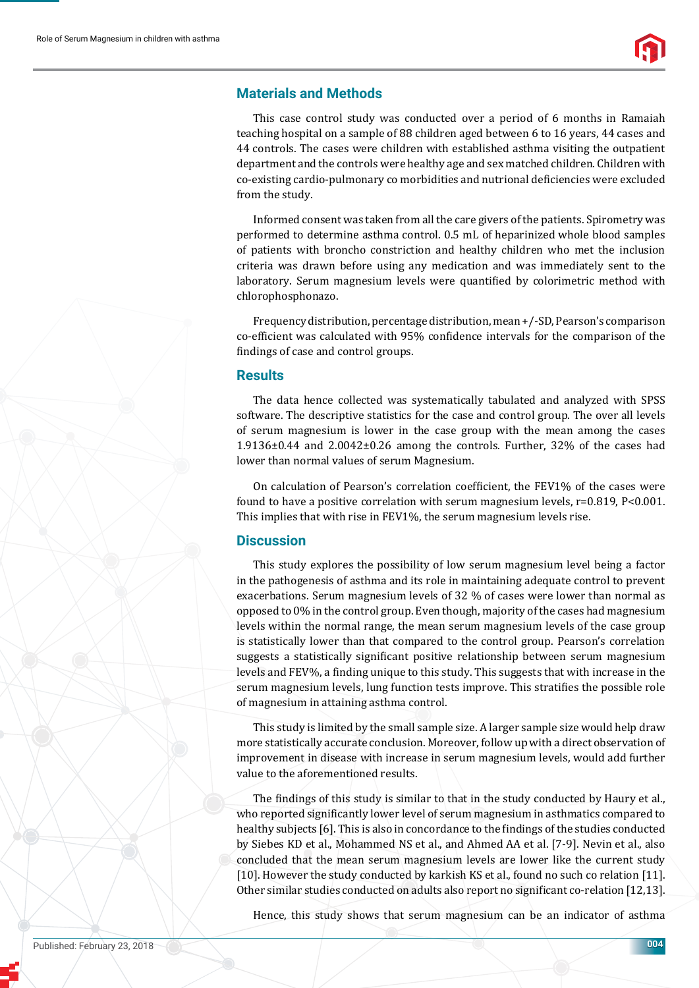# **Materials and Methods**

This case control study was conducted over a period of 6 months in Ramaiah teaching hospital on a sample of 88 children aged between 6 to 16 years, 44 cases and 44 controls. The cases were children with established asthma visiting the outpatient department and the controls were healthy age and sex matched children. Children with co-existing cardio-pulmonary co morbidities and nutrional deficiencies were excluded from the study.

Informed consent was taken from all the care givers of the patients. Spirometry was performed to determine asthma control. 0.5 mL of heparinized whole blood samples of patients with broncho constriction and healthy children who met the inclusion criteria was drawn before using any medication and was immediately sent to the laboratory. Serum magnesium levels were quantified by colorimetric method with chlorophosphonazo.

Frequency distribution, percentage distribution, mean +/-SD, Pearson's comparison co-efficient was calculated with 95% confidence intervals for the comparison of the findings of case and control groups.

### **Results**

The data hence collected was systematically tabulated and analyzed with SPSS software. The descriptive statistics for the case and control group. The over all levels of serum magnesium is lower in the case group with the mean among the cases 1.9136±0.44 and 2.0042±0.26 among the controls. Further, 32% of the cases had lower than normal values of serum Magnesium.

On calculation of Pearson's correlation coefficient, the FEV1% of the cases were found to have a positive correlation with serum magnesium levels,  $r=0.819$ ,  $P<0.001$ . This implies that with rise in FEV1%, the serum magnesium levels rise.

### **Discussion**

This study explores the possibility of low serum magnesium level being a factor in the pathogenesis of asthma and its role in maintaining adequate control to prevent exacerbations. Serum magnesium levels of 32 % of cases were lower than normal as opposed to 0% in the control group. Even though, majority of the cases had magnesium levels within the normal range, the mean serum magnesium levels of the case group is statistically lower than that compared to the control group. Pearson's correlation suggests a statistically significant positive relationship between serum magnesium levels and FEV%, a finding unique to this study. This suggests that with increase in the serum magnesium levels, lung function tests improve. This stratifies the possible role of magnesium in attaining asthma control.

This study is limited by the small sample size. A larger sample size would help draw more statistically accurate conclusion. Moreover, follow up with a direct observation of improvement in disease with increase in serum magnesium levels, would add further value to the aforementioned results.

The findings of this study is similar to that in the study conducted by Haury et al., who reported significantly lower level of serum magnesium in asthmatics compared to healthy subjects [6]. This is also in concordance to the findings of the studies conducted by Siebes KD et al., Mohammed NS et al., and Ahmed AA et al. [7-9]. Nevin et al., also concluded that the mean serum magnesium levels are lower like the current study [10]. However the study conducted by karkish KS et al., found no such co relation [11]. Other similar studies conducted on adults also report no significant co-relation [12,13].

Hence, this study shows that serum magnesium can be an indicator of asthma